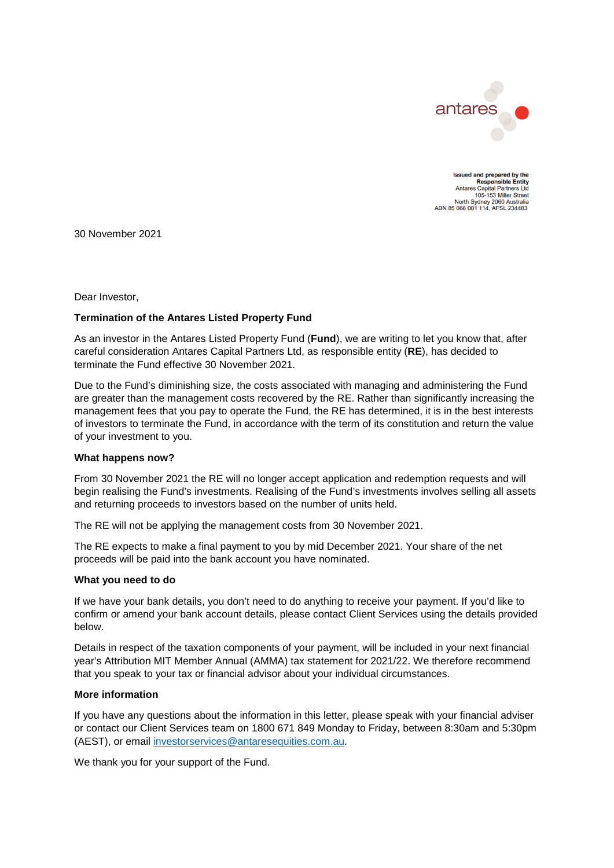

Issued and prepared by the Responsible Entity<br>Responsible Entity<br>Antares Capital Partners Ltd 105-153 Miller Street 105-153 Miller Street<br>North Sydney 2060 Australia<br>ABN 85 066 081 114, AFSL 234483

30 November 2021

Dear Investor,

## **Termination of the Antares Listed Property Fund**

As an investor in the Antares Listed Property Fund (**Fund**), we are writing to let you know that, after careful consideration Antares Capital Partners Ltd, as responsible entity (**RE**), has decided to terminate the Fund effective 30 November 2021.

Due to the Fund's diminishing size, the costs associated with managing and administering the Fund are greater than the management costs recovered by the RE. Rather than significantly increasing the management fees that you pay to operate the Fund, the RE has determined, it is in the best interests of investors to terminate the Fund, in accordance with the term of its constitution and return the value of your investment to you.

## **What happens now?**

From 30 November 2021 the RE will no longer accept application and redemption requests and will begin realising the Fund's investments. Realising of the Fund's investments involves selling all assets and returning proceeds to investors based on the number of units held.

The RE will not be applying the management costs from 30 November 2021.

The RE expects to make a final payment to you by mid December 2021. Your share of the net proceeds will be paid into the bank account you have nominated.

## **What you need to do**

If we have your bank details, you don't need to do anything to receive your payment. If you'd like to confirm or amend your bank account details, please contact Client Services using the details provided below.

Details in respect of the taxation components of your payment, will be included in your next financial year's Attribution MIT Member Annual (AMMA) tax statement for 2021/22. We therefore recommend that you speak to your tax or financial advisor about your individual circumstances.

## **More information**

If you have any questions about the information in this letter, please speak with your financial adviser or contact our Client Services team on 1800 671 849 Monday to Friday, between 8:30am and 5:30pm (AEST), or email [investorservices@antaresequities.com.au.](mailto:investorservices@antaresequities.com.au)

We thank you for your support of the Fund.